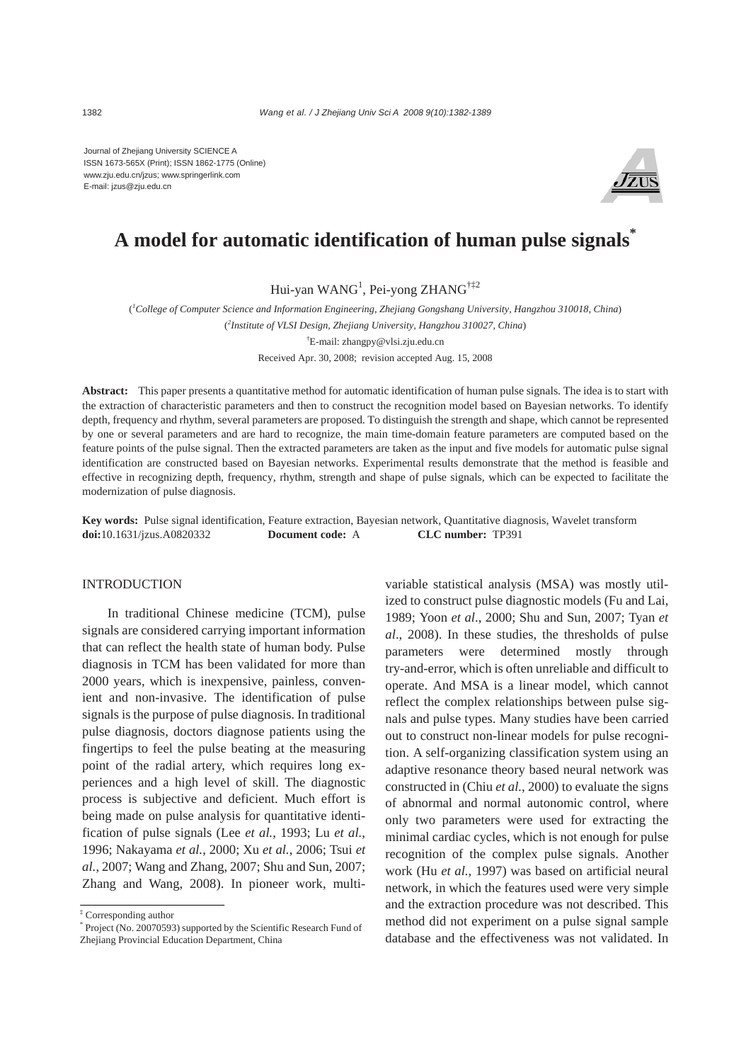Journal of Zhejiang University SCIENCE A ISSN 1673-565X (Print); ISSN 1862-1775 (Online) www.zju.edu.cn/jzus; www.springerlink.com E-mail: jzus@zju.edu.cn



# **A model for automatic identification of human pulse signals\***

Hui-yan WANG<sup>1</sup>, Pei-yong ZHANG<sup>†‡2</sup>

( *1 College of Computer Science and Information Engineering, Zhejiang Gongshang University, Hangzhou 310018, China*) ( *2 Institute of VLSI Design, Zhejiang University, Hangzhou 310027, China*) † E-mail: zhangpy@vlsi.zju.edu.cn

Received Apr. 30, 2008; revision accepted Aug. 15, 2008

**Abstract:** This paper presents a quantitative method for automatic identification of human pulse signals. The idea is to start with the extraction of characteristic parameters and then to construct the recognition model based on Bayesian networks. To identify depth, frequency and rhythm, several parameters are proposed. To distinguish the strength and shape, which cannot be represented by one or several parameters and are hard to recognize, the main time-domain feature parameters are computed based on the feature points of the pulse signal. Then the extracted parameters are taken as the input and five models for automatic pulse signal identification are constructed based on Bayesian networks. Experimental results demonstrate that the method is feasible and effective in recognizing depth, frequency, rhythm, strength and shape of pulse signals, which can be expected to facilitate the modernization of pulse diagnosis.

**Key words:** Pulse signal identification, Feature extraction, Bayesian network, Quantitative diagnosis, Wavelet transform **doi:**10.1631/jzus.A0820332 **Document code:** A **CLC number:** TP391

#### INTRODUCTION

In traditional Chinese medicine (TCM), pulse signals are considered carrying important information that can reflect the health state of human body. Pulse diagnosis in TCM has been validated for more than 2000 years, which is inexpensive, painless, convenient and non-invasive. The identification of pulse signals is the purpose of pulse diagnosis. In traditional pulse diagnosis, doctors diagnose patients using the fingertips to feel the pulse beating at the measuring point of the radial artery, which requires long experiences and a high level of skill. The diagnostic process is subjective and deficient. Much effort is being made on pulse analysis for quantitative identification of pulse signals (Lee *et al.*, 1993; Lu *et al.*, 1996; Nakayama *et al.*, 2000; Xu *et al.*, 2006; Tsui *et al.*, 2007; Wang and Zhang, 2007; Shu and Sun, 2007; Zhang and Wang, 2008). In pioneer work, multivariable statistical analysis (MSA) was mostly utilized to construct pulse diagnostic models (Fu and Lai, 1989; Yoon *et al*., 2000; Shu and Sun, 2007; Tyan *et al*., 2008). In these studies, the thresholds of pulse parameters were determined mostly through try-and-error, which is often unreliable and difficult to operate. And MSA is a linear model, which cannot reflect the complex relationships between pulse signals and pulse types. Many studies have been carried out to construct non-linear models for pulse recognition. A self-organizing classification system using an adaptive resonance theory based neural network was constructed in (Chiu *et al.*, 2000) to evaluate the signs of abnormal and normal autonomic control, where only two parameters were used for extracting the minimal cardiac cycles, which is not enough for pulse recognition of the complex pulse signals. Another work (Hu *et al.*, 1997) was based on artificial neural network, in which the features used were very simple and the extraction procedure was not described. This method did not experiment on a pulse signal sample database and the effectiveness was not validated. In

<sup>‡</sup> Corresponding author

<sup>\*</sup> Project (No. 20070593) supported by the Scientific Research Fund of Zhejiang Provincial Education Department, China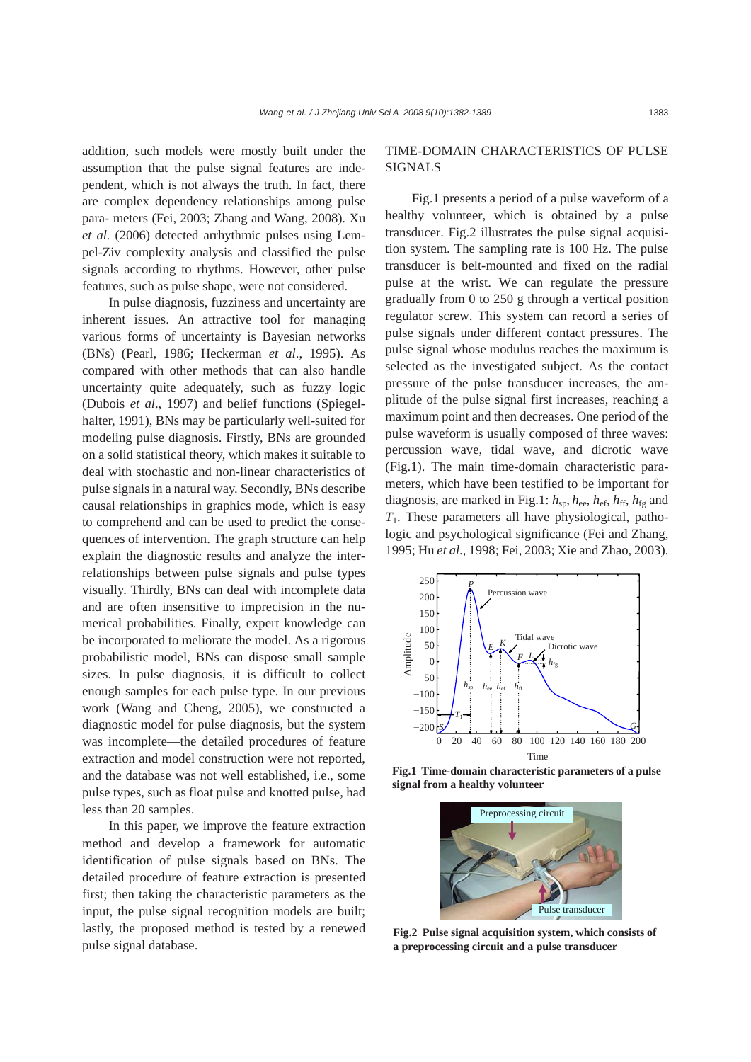addition, such models were mostly built under the assumption that the pulse signal features are independent, which is not always the truth. In fact, there are complex dependency relationships among pulse para- meters (Fei, 2003; Zhang and Wang, 2008). Xu *et al.* (2006) detected arrhythmic pulses using Lempel-Ziv complexity analysis and classified the pulse signals according to rhythms. However, other pulse features, such as pulse shape, were not considered.

In pulse diagnosis, fuzziness and uncertainty are inherent issues. An attractive tool for managing various forms of uncertainty is Bayesian networks (BNs) (Pearl, 1986; Heckerman *et al*., 1995). As compared with other methods that can also handle uncertainty quite adequately, such as fuzzy logic (Dubois *et al*., 1997) and belief functions (Spiegelhalter, 1991), BNs may be particularly well-suited for modeling pulse diagnosis. Firstly, BNs are grounded on a solid statistical theory, which makes it suitable to deal with stochastic and non-linear characteristics of pulse signals in a natural way. Secondly, BNs describe causal relationships in graphics mode, which is easy to comprehend and can be used to predict the consequences of intervention. The graph structure can help explain the diagnostic results and analyze the interrelationships between pulse signals and pulse types visually. Thirdly, BNs can deal with incomplete data and are often insensitive to imprecision in the numerical probabilities. Finally, expert knowledge can be incorporated to meliorate the model. As a rigorous probabilistic model, BNs can dispose small sample sizes. In pulse diagnosis, it is difficult to collect enough samples for each pulse type. In our previous work (Wang and Cheng, 2005), we constructed a diagnostic model for pulse diagnosis, but the system was incomplete—the detailed procedures of feature extraction and model construction were not reported, and the database was not well established, i.e., some pulse types, such as float pulse and knotted pulse, had less than 20 samples.

In this paper, we improve the feature extraction method and develop a framework for automatic identification of pulse signals based on BNs. The detailed procedure of feature extraction is presented first; then taking the characteristic parameters as the input, the pulse signal recognition models are built; lastly, the proposed method is tested by a renewed pulse signal database.

# TIME-DOMAIN CHARACTERISTICS OF PULSE SIGNALS

Fig.1 presents a period of a pulse waveform of a healthy volunteer, which is obtained by a pulse transducer. Fig.2 illustrates the pulse signal acquisition system. The sampling rate is 100 Hz. The pulse transducer is belt-mounted and fixed on the radial pulse at the wrist. We can regulate the pressure gradually from 0 to 250 g through a vertical position regulator screw. This system can record a series of pulse signals under different contact pressures. The pulse signal whose modulus reaches the maximum is selected as the investigated subject. As the contact pressure of the pulse transducer increases, the amplitude of the pulse signal first increases, reaching a maximum point and then decreases. One period of the pulse waveform is usually composed of three waves: percussion wave, tidal wave, and dicrotic wave (Fig.1). The main time-domain characteristic parameters, which have been testified to be important for diagnosis, are marked in Fig.1: *h*sp, *h*ee, *h*ef, *h*ff, *h*fg and *T*1. These parameters all have physiological, pathologic and psychological significance (Fei and Zhang, 1995; Hu *et al*., 1998; Fei, 2003; Xie and Zhao, 2003).



**Fig.1 Time-domain characteristic parameters of a pulse signal from a healthy volunteer**



**Fig.2 Pulse signal acquisition system, which consists of a preprocessing circuit and a pulse transducer**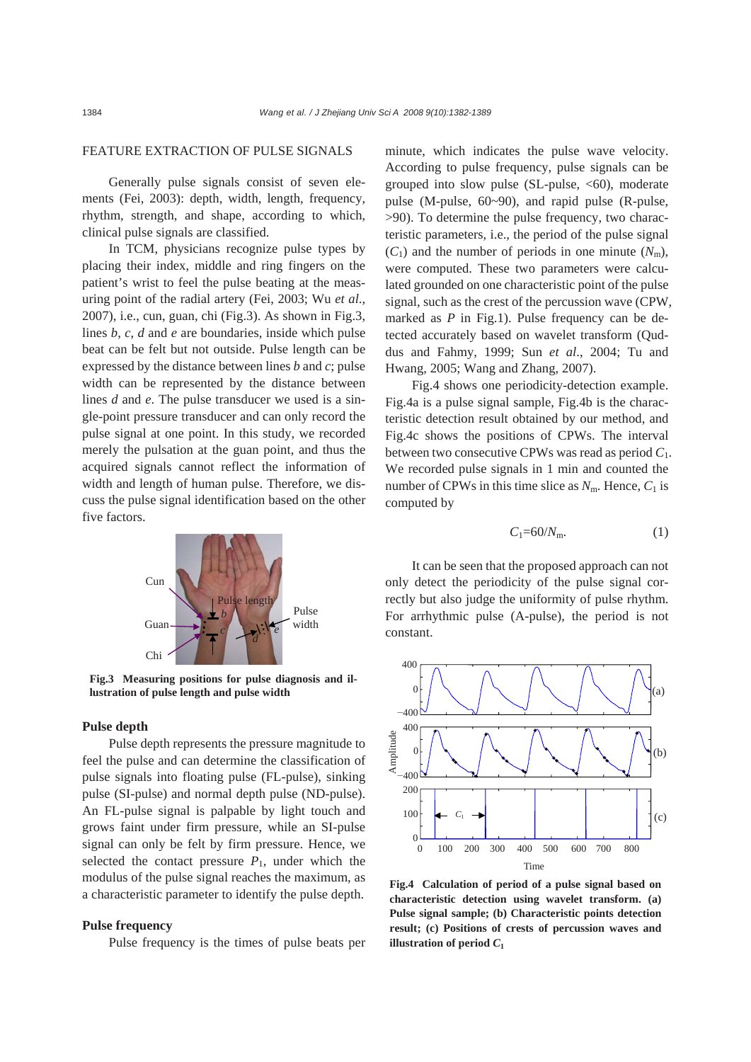## FEATURE EXTRACTION OF PULSE SIGNALS

Generally pulse signals consist of seven elements (Fei, 2003): depth, width, length, frequency, rhythm, strength, and shape, according to which, clinical pulse signals are classified.

In TCM, physicians recognize pulse types by placing their index, middle and ring fingers on the patient's wrist to feel the pulse beating at the measuring point of the radial artery (Fei, 2003; Wu *et al*., 2007), i.e., cun, guan, chi (Fig.3). As shown in Fig.3, lines *b*, *c*, *d* and *e* are boundaries, inside which pulse beat can be felt but not outside. Pulse length can be expressed by the distance between lines *b* and *c*; pulse width can be represented by the distance between lines *d* and *e*. The pulse transducer we used is a single-point pressure transducer and can only record the pulse signal at one point. In this study, we recorded merely the pulsation at the guan point, and thus the acquired signals cannot reflect the information of width and length of human pulse. Therefore, we discuss the pulse signal identification based on the other five factors.



**Fig.3 Measuring positions for pulse diagnosis and illustration of pulse length and pulse width** 

## **Pulse depth**

Pulse depth represents the pressure magnitude to feel the pulse and can determine the classification of pulse signals into floating pulse (FL-pulse), sinking pulse (SI-pulse) and normal depth pulse (ND-pulse). An FL-pulse signal is palpable by light touch and grows faint under firm pressure, while an SI-pulse signal can only be felt by firm pressure. Hence, we selected the contact pressure  $P_1$ , under which the modulus of the pulse signal reaches the maximum, as a characteristic parameter to identify the pulse depth.

#### **Pulse frequency**

Pulse frequency is the times of pulse beats per

minute, which indicates the pulse wave velocity. According to pulse frequency, pulse signals can be grouped into slow pulse (SL-pulse,  $\langle 60 \rangle$ , moderate pulse (M-pulse, 60~90), and rapid pulse (R-pulse, >90). To determine the pulse frequency, two characteristic parameters, i.e., the period of the pulse signal  $(C_1)$  and the number of periods in one minute  $(N_m)$ , were computed. These two parameters were calculated grounded on one characteristic point of the pulse signal, such as the crest of the percussion wave (CPW, marked as *P* in Fig.1). Pulse frequency can be detected accurately based on wavelet transform (Quddus and Fahmy, 1999; Sun *et al*., 2004; Tu and Hwang, 2005; Wang and Zhang, 2007).

Fig.4 shows one periodicity-detection example. Fig.4a is a pulse signal sample, Fig.4b is the characteristic detection result obtained by our method, and Fig.4c shows the positions of CPWs. The interval between two consecutive CPWs was read as period *C*1. We recorded pulse signals in 1 min and counted the number of CPWs in this time slice as  $N<sub>m</sub>$ . Hence,  $C<sub>1</sub>$  is computed by

$$
C_1=60/N_{\rm m}.\tag{1}
$$

It can be seen that the proposed approach can not only detect the periodicity of the pulse signal correctly but also judge the uniformity of pulse rhythm. For arrhythmic pulse (A-pulse), the period is not constant.



**Fig.4 Calculation of period of a pulse signal based on characteristic detection using wavelet transform. (a) Pulse signal sample; (b) Characteristic points detection result; (c) Positions of crests of percussion waves and illustration of period**  $C_1$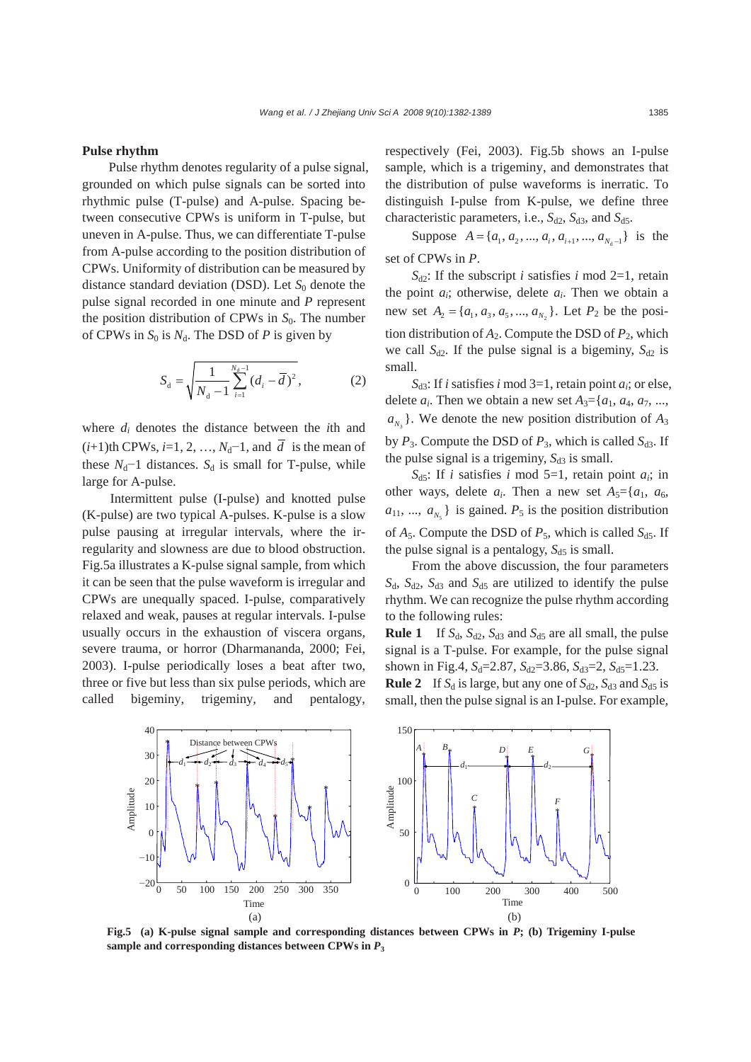#### **Pulse rhythm**

Pulse rhythm denotes regularity of a pulse signal, grounded on which pulse signals can be sorted into rhythmic pulse (T-pulse) and A-pulse. Spacing between consecutive CPWs is uniform in T-pulse, but uneven in A-pulse. Thus, we can differentiate T-pulse from A-pulse according to the position distribution of CPWs. Uniformity of distribution can be measured by distance standard deviation (DSD). Let  $S_0$  denote the pulse signal recorded in one minute and *P* represent the position distribution of CPWs in  $S_0$ . The number of CPWs in  $S_0$  is  $N_d$ . The DSD of *P* is given by

$$
S_{\rm d} = \sqrt{\frac{1}{N_{\rm d} - 1} \sum_{i=1}^{N_{\rm d} - 1} (d_i - \overline{d})^2},\tag{2}
$$

where *di* denotes the distance between the *i*th and  $(i+1)$ th CPWs, *i*=1, 2, …, *N*<sub>d</sub>−1, and  $\overline{d}$  is the mean of these  $N_d$ <sup>-1</sup> distances.  $S_d$  is small for T-pulse, while large for A-pulse.

Intermittent pulse (I-pulse) and knotted pulse (K-pulse) are two typical A-pulses. K-pulse is a slow pulse pausing at irregular intervals, where the irregularity and slowness are due to blood obstruction. Fig.5a illustrates a K-pulse signal sample, from which it can be seen that the pulse waveform is irregular and CPWs are unequally spaced. I-pulse, comparatively relaxed and weak, pauses at regular intervals. I-pulse usually occurs in the exhaustion of viscera organs, severe trauma, or horror (Dharmananda, 2000; Fei, 2003). I-pulse periodically loses a beat after two, three or five but less than six pulse periods, which are called bigeminy, trigeminy, and pentalogy, respectively (Fei, 2003). Fig.5b shows an I-pulse sample, which is a trigeminy, and demonstrates that the distribution of pulse waveforms is inerratic. To distinguish I-pulse from K-pulse, we define three characteristic parameters, i.e.,  $S_{d2}$ ,  $S_{d3}$ , and  $S_{d5}$ .

Suppose  $A = \{a_1, a_2, ..., a_i, a_{i+1}, ..., a_{N-1}\}$  is the set of CPWs in *P*.

 $S_{d2}$ : If the subscript *i* satisfies *i* mod 2=1, retain the point *ai*; otherwise, delete *ai*. Then we obtain a new set  $A_2 = \{a_1, a_3, a_5, ..., a_{N_2}\}\$ . Let  $P_2$  be the position distribution of  $A_2$ . Compute the DSD of  $P_2$ , which we call  $S_{d2}$ . If the pulse signal is a bigeminy,  $S_{d2}$  is small.

 $S_{d3}$ : If *i* satisfies *i* mod 3=1, retain point *a<sub>i</sub>*; or else, delete  $a_i$ . Then we obtain a new set  $A_3 = \{a_1, a_4, a_7, \ldots, a_k\}$  $a_{N_3}$ . We denote the new position distribution of  $A_3$ by  $P_3$ . Compute the DSD of  $P_3$ , which is called  $S_{d3}$ . If the pulse signal is a trigeminy,  $S_{d3}$  is small.

 $S_{d5}$ : If *i* satisfies *i* mod 5=1, retain point  $a_i$ ; in other ways, delete  $a_i$ . Then a new set  $A_5 = \{a_1, a_6, a_7, a_8, a_9, a_9, a_1, a_2, a_3, a_4, a_5, a_6, a_7, a_8, a_9, a_9, a_1, a_2, a_3, a_4, a_5, a_6, a_7, a_8, a_9, a_1, a_2, a_3, a_4, a_5, a_6, a_7, a_8, a_9, a_1, a_2, a_3, a_4, a_5, a_6, a_7, a_8, a_9, a_$  $a_{11}$ , ...,  $a_{N_5}$  } is gained.  $P_5$  is the position distribution of  $A_5$ . Compute the DSD of  $P_5$ , which is called  $S_{d5}$ . If the pulse signal is a pentalogy,  $S_{d5}$  is small.

From the above discussion, the four parameters  $S_d$ ,  $S_{d2}$ ,  $S_{d3}$  and  $S_{d5}$  are utilized to identify the pulse rhythm. We can recognize the pulse rhythm according to the following rules:

**Rule 1** If  $S_d$ ,  $S_{d2}$ ,  $S_{d3}$  and  $S_{d5}$  are all small, the pulse signal is a T-pulse. For example, for the pulse signal shown in Fig.4,  $S_d$ =2.87,  $S_{d2}$ =3.86,  $S_{d3}$ =2,  $S_{d5}$ =1.23. **Rule 2** If  $S_d$  is large, but any one of  $S_{d2}$ ,  $S_{d3}$  and  $S_{d5}$  is small, then the pulse signal is an I-pulse. For example,



**Fig.5 (a) K-pulse signal sample and corresponding distances between CPWs in** *P***; (b) Trigeminy I-pulse** sample and corresponding distances between CPWs in  $P_3$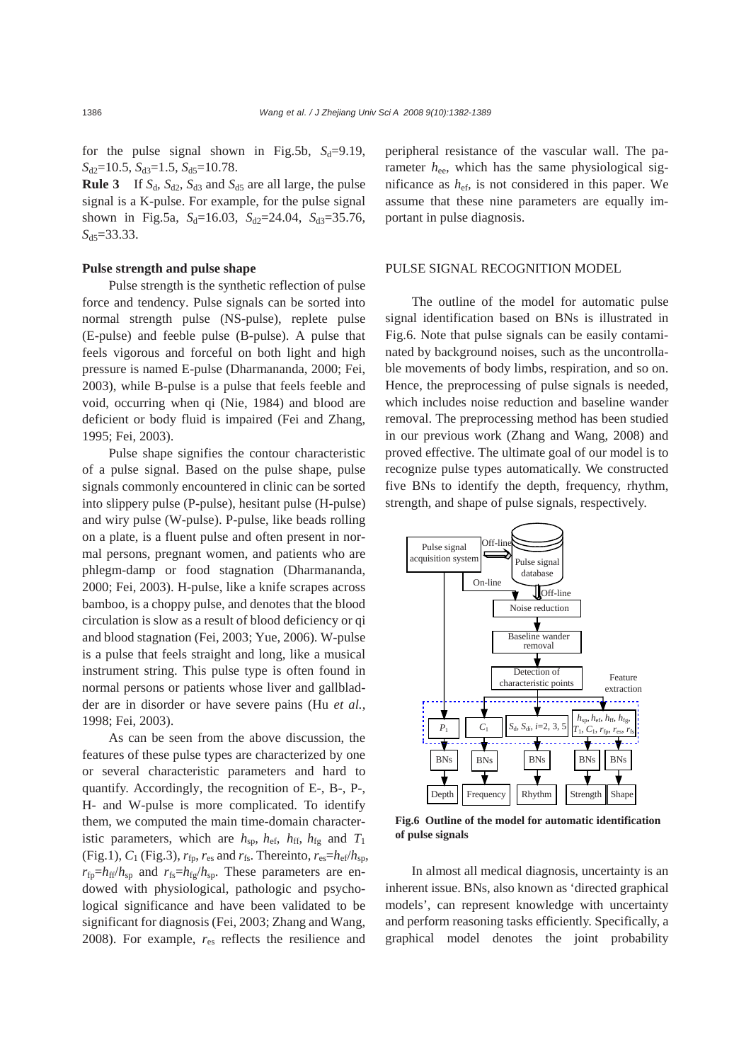for the pulse signal shown in Fig.5b,  $S_d=9.19$ ,  $S_{d2}=10.5$ ,  $S_{d3}=1.5$ ,  $S_{d5}=10.78$ .

**Rule 3** If  $S_d$ ,  $S_{d2}$ ,  $S_{d3}$  and  $S_{d5}$  are all large, the pulse signal is a K-pulse. For example, for the pulse signal shown in Fig.5a,  $S_d=16.03$ ,  $S_{d2}=24.04$ ,  $S_{d3}=35.76$ , *S*d5=33.33.

## **Pulse strength and pulse shape**

Pulse strength is the synthetic reflection of pulse force and tendency. Pulse signals can be sorted into normal strength pulse (NS-pulse), replete pulse (E-pulse) and feeble pulse (B-pulse). A pulse that feels vigorous and forceful on both light and high pressure is named E-pulse (Dharmananda, 2000; Fei, 2003), while B-pulse is a pulse that feels feeble and void, occurring when qi (Nie, 1984) and blood are deficient or body fluid is impaired (Fei and Zhang, 1995; Fei, 2003).

Pulse shape signifies the contour characteristic of a pulse signal. Based on the pulse shape, pulse signals commonly encountered in clinic can be sorted into slippery pulse (P-pulse), hesitant pulse (H-pulse) and wiry pulse (W-pulse). P-pulse, like beads rolling on a plate, is a fluent pulse and often present in normal persons, pregnant women, and patients who are phlegm-damp or food stagnation (Dharmananda, 2000; Fei, 2003). H-pulse, like a knife scrapes across bamboo, is a choppy pulse, and denotes that the blood circulation is slow as a result of blood deficiency or qi and blood stagnation (Fei, 2003; Yue, 2006). W-pulse is a pulse that feels straight and long, like a musical instrument string. This pulse type is often found in normal persons or patients whose liver and gallbladder are in disorder or have severe pains (Hu *et al.*, 1998; Fei, 2003).

As can be seen from the above discussion, the features of these pulse types are characterized by one or several characteristic parameters and hard to quantify. Accordingly, the recognition of E-, B-, P-, H- and W-pulse is more complicated. To identify them, we computed the main time-domain characteristic parameters, which are  $h_{\rm sp}$ ,  $h_{\rm ef}$ ,  $h_{\rm ff}$ ,  $h_{\rm fg}$  and  $T_1$ (Fig.1),  $C_1$  (Fig.3),  $r_{\text{fp}}$ ,  $r_{\text{es}}$  and  $r_{\text{fs}}$ . Thereinto,  $r_{\text{es}}=h_{\text{ef}}/h_{\text{sp}}$ ,  $r_{fp}=h_{ff}/h_{sp}$  and  $r_{fs}=h_{fg}/h_{sp}$ . These parameters are endowed with physiological, pathologic and psychological significance and have been validated to be significant for diagnosis (Fei, 2003; Zhang and Wang, 2008). For example,  $r_{es}$  reflects the resilience and

peripheral resistance of the vascular wall. The parameter  $h_{ee}$ , which has the same physiological significance as *h*ef, is not considered in this paper. We assume that these nine parameters are equally important in pulse diagnosis.

## PULSE SIGNAL RECOGNITION MODEL

The outline of the model for automatic pulse signal identification based on BNs is illustrated in Fig.6. Note that pulse signals can be easily contaminated by background noises, such as the uncontrollable movements of body limbs, respiration, and so on. Hence, the preprocessing of pulse signals is needed, which includes noise reduction and baseline wander removal. The preprocessing method has been studied in our previous work (Zhang and Wang, 2008) and proved effective. The ultimate goal of our model is to recognize pulse types automatically. We constructed five BNs to identify the depth, frequency, rhythm, strength, and shape of pulse signals, respectively.



**Fig.6 Outline of the model for automatic identification of pulse signals** 

In almost all medical diagnosis, uncertainty is an inherent issue. BNs, also known as 'directed graphical models', can represent knowledge with uncertainty and perform reasoning tasks efficiently. Specifically, a graphical model denotes the joint probability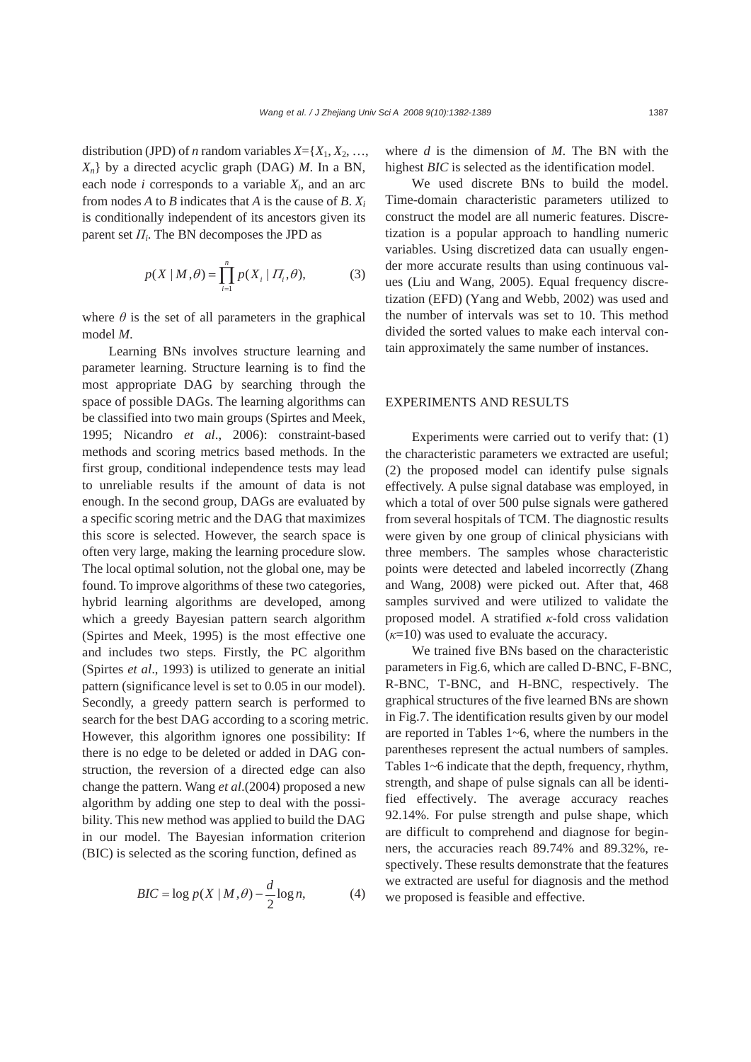distribution (JPD) of *n* random variables  $X = \{X_1, X_2, \ldots, X_n\}$ *Xn*} by a directed acyclic graph (DAG) *M*. In a BN, each node  $i$  corresponds to a variable  $X_i$ , and an arc from nodes  $A$  to  $B$  indicates that  $A$  is the cause of  $B$ .  $X_i$ is conditionally independent of its ancestors given its parent set  $\Pi_i$ . The BN decomposes the JPD as

$$
p(X | M, \theta) = \prod_{i=1}^{n} p(X_i | \Pi_i, \theta),
$$
 (3)

where  $\theta$  is the set of all parameters in the graphical model *M*.

Learning BNs involves structure learning and parameter learning. Structure learning is to find the most appropriate DAG by searching through the space of possible DAGs. The learning algorithms can be classified into two main groups (Spirtes and Meek, 1995; Nicandro *et al*., 2006): constraint-based methods and scoring metrics based methods. In the first group, conditional independence tests may lead to unreliable results if the amount of data is not enough. In the second group, DAGs are evaluated by a specific scoring metric and the DAG that maximizes this score is selected. However, the search space is often very large, making the learning procedure slow. The local optimal solution, not the global one, may be found. To improve algorithms of these two categories, hybrid learning algorithms are developed, among which a greedy Bayesian pattern search algorithm (Spirtes and Meek, 1995) is the most effective one and includes two steps. Firstly, the PC algorithm (Spirtes *et al*., 1993) is utilized to generate an initial pattern (significance level is set to 0.05 in our model). Secondly, a greedy pattern search is performed to search for the best DAG according to a scoring metric. However, this algorithm ignores one possibility: If there is no edge to be deleted or added in DAG construction, the reversion of a directed edge can also change the pattern. Wang *et al*.(2004) proposed a new algorithm by adding one step to deal with the possibility. This new method was applied to build the DAG in our model. The Bayesian information criterion (BIC) is selected as the scoring function, defined as

$$
BIC = \log p(X \mid M, \theta) - \frac{d}{2} \log n,\tag{4}
$$

where *d* is the dimension of *M*. The BN with the highest *BIC* is selected as the identification model.

We used discrete BNs to build the model. Time-domain characteristic parameters utilized to construct the model are all numeric features. Discretization is a popular approach to handling numeric variables. Using discretized data can usually engender more accurate results than using continuous values (Liu and Wang, 2005). Equal frequency discretization (EFD) (Yang and Webb, 2002) was used and the number of intervals was set to 10. This method divided the sorted values to make each interval contain approximately the same number of instances.

#### EXPERIMENTS AND RESULTS

Experiments were carried out to verify that: (1) the characteristic parameters we extracted are useful; (2) the proposed model can identify pulse signals effectively. A pulse signal database was employed, in which a total of over 500 pulse signals were gathered from several hospitals of TCM. The diagnostic results were given by one group of clinical physicians with three members. The samples whose characteristic points were detected and labeled incorrectly (Zhang and Wang, 2008) were picked out. After that, 468 samples survived and were utilized to validate the proposed model. A stratified *κ*-fold cross validation  $(k=10)$  was used to evaluate the accuracy.

We trained five BNs based on the characteristic parameters in Fig.6, which are called D-BNC, F-BNC, R-BNC, T-BNC, and H-BNC, respectively. The graphical structures of the five learned BNs are shown in Fig.7. The identification results given by our model are reported in Tables 1~6, where the numbers in the parentheses represent the actual numbers of samples. Tables 1~6 indicate that the depth, frequency, rhythm, strength, and shape of pulse signals can all be identified effectively. The average accuracy reaches 92.14%. For pulse strength and pulse shape, which are difficult to comprehend and diagnose for beginners, the accuracies reach 89.74% and 89.32%, respectively. These results demonstrate that the features we extracted are useful for diagnosis and the method we proposed is feasible and effective.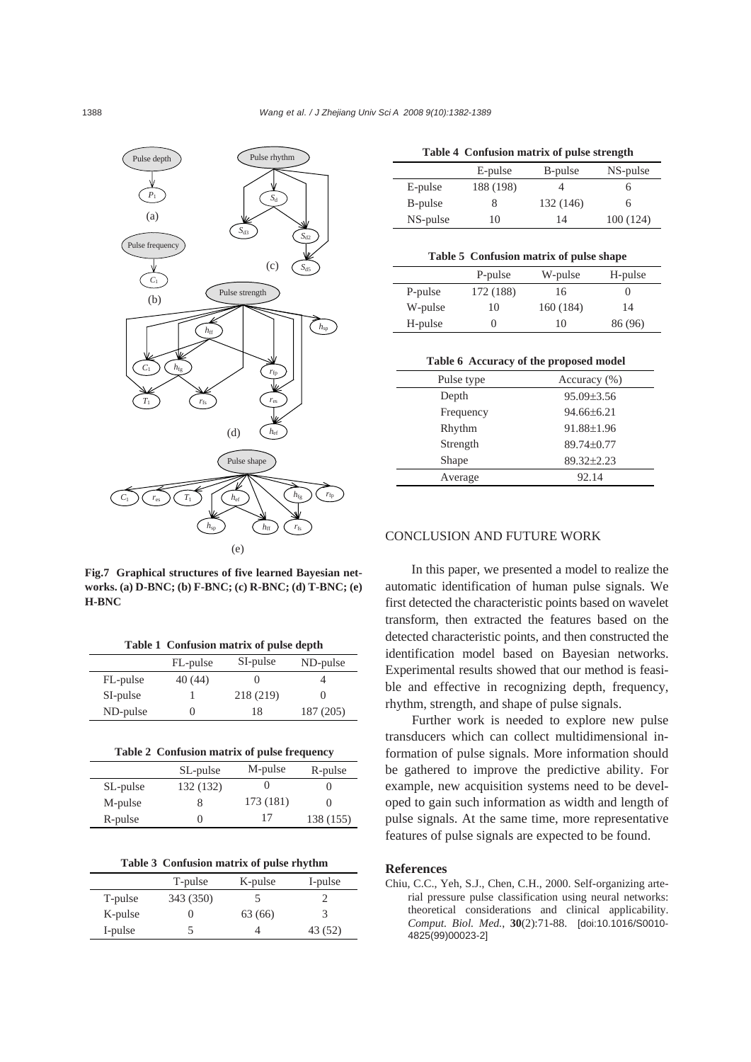

**Fig.7 Graphical structures of five learned Bayesian networks. (a) D-BNC; (b) F-BNC; (c) R-BNC; (d) T-BNC; (e) H-BNC** 

|  |  |  |  | Table 1 Confusion matrix of pulse depth |  |
|--|--|--|--|-----------------------------------------|--|
|--|--|--|--|-----------------------------------------|--|

|          | FL-pulse | SI-pulse  | ND-pulse  |
|----------|----------|-----------|-----------|
| FL-pulse | 40 (44)  |           |           |
| SI-pulse |          | 218 (219) |           |
| ND-pulse |          | 18        | 187 (205) |

|          | SL-pulse  | M-pulse   | R-pulse   |
|----------|-----------|-----------|-----------|
| SL-pulse | 132 (132) |           |           |
| M-pulse  | 8         | 173 (181) |           |
| R-pulse  | 0         | 17        | 138 (155) |
|          |           |           |           |

| Table 3 Confusion matrix of pulse rhythm |  |  |  |  |  |
|------------------------------------------|--|--|--|--|--|
|------------------------------------------|--|--|--|--|--|

|         | T-pulse   | K-pulse | I-pulse |
|---------|-----------|---------|---------|
| T-pulse | 343 (350) |         |         |
| K-pulse |           | 63 (66) |         |
| I-pulse |           |         | 43 (52) |

| Table 4 Confusion matrix of pulse strength |  |              |  |
|--------------------------------------------|--|--------------|--|
|                                            |  | $\mathbf{M}$ |  |

|          | E-pulse   | B-pulse   | NS-pulse |
|----------|-----------|-----------|----------|
| E-pulse  | 188 (198) |           | n        |
| B-pulse  |           | 132 (146) | h        |
| NS-pulse | 10        | 14        | 100(124) |
|          |           |           |          |

| Table 5 Confusion matrix of pulse shape |  |  |
|-----------------------------------------|--|--|
|                                         |  |  |

|         | P-pulse   | W-pulse   | H-pulse |
|---------|-----------|-----------|---------|
| P-pulse | 172 (188) | 16        | O       |
| W-pulse | 10        | 160 (184) | 14      |
| H-pulse |           | 10        | 86 (96) |

#### **Table 6 Accuracy of the proposed model**

| Pulse type | Accuracy $(\% )$ |
|------------|------------------|
| Depth      | $95.09 \pm 3.56$ |
| Frequency  | $94.66 \pm 6.21$ |
| Rhythm     | 91.88±1.96       |
| Strength   | 89.74±0.77       |
| Shape      | 89.32±2.23       |
| Average    | 92.14            |

## CONCLUSION AND FUTURE WORK

In this paper, we presented a model to realize the automatic identification of human pulse signals. We first detected the characteristic points based on wavelet transform, then extracted the features based on the detected characteristic points, and then constructed the identification model based on Bayesian networks. Experimental results showed that our method is feasible and effective in recognizing depth, frequency, rhythm, strength, and shape of pulse signals.

Further work is needed to explore new pulse transducers which can collect multidimensional information of pulse signals. More information should be gathered to improve the predictive ability. For example, new acquisition systems need to be developed to gain such information as width and length of pulse signals. At the same time, more representative features of pulse signals are expected to be found.

## **References**

Chiu, C.C., Yeh, S.J., Chen, C.H., 2000. Self-organizing arterial pressure pulse classification using neural networks: theoretical considerations and clinical applicability. *Comput. Biol. Med.*, **30**(2):71-88. [doi:10.1016/S0010- 4825(99)00023-2]